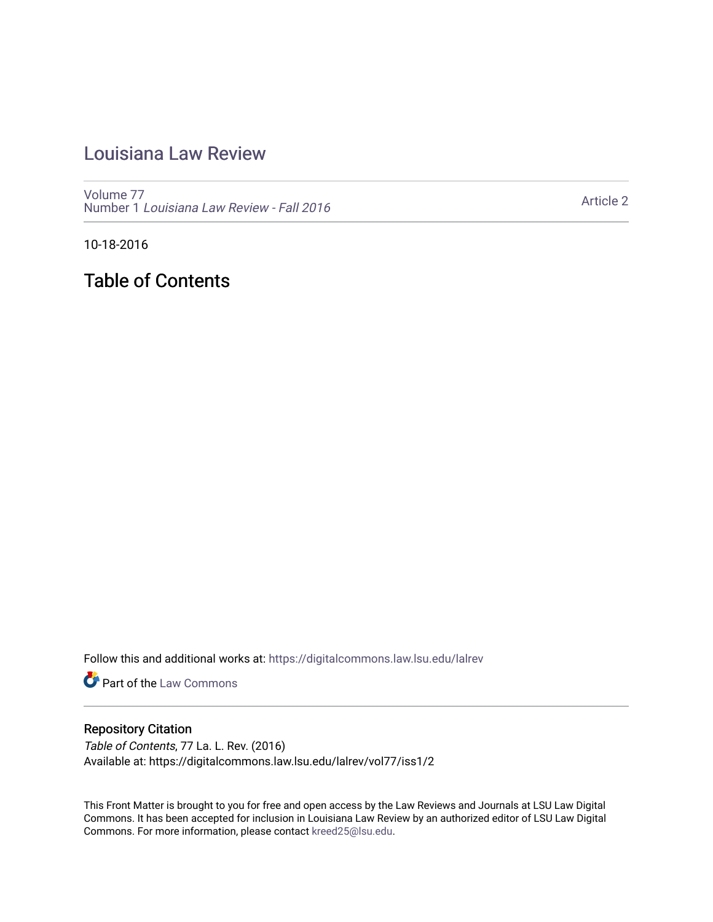## [Louisiana Law Review](https://digitalcommons.law.lsu.edu/lalrev)

[Volume 77](https://digitalcommons.law.lsu.edu/lalrev/vol77) Number 1 [Louisiana Law Review - Fall 2016](https://digitalcommons.law.lsu.edu/lalrev/vol77/iss1) 

[Article 2](https://digitalcommons.law.lsu.edu/lalrev/vol77/iss1/2) 

10-18-2016

Table of Contents

Follow this and additional works at: [https://digitalcommons.law.lsu.edu/lalrev](https://digitalcommons.law.lsu.edu/lalrev?utm_source=digitalcommons.law.lsu.edu%2Flalrev%2Fvol77%2Fiss1%2F2&utm_medium=PDF&utm_campaign=PDFCoverPages)

**Part of the [Law Commons](http://network.bepress.com/hgg/discipline/578?utm_source=digitalcommons.law.lsu.edu%2Flalrev%2Fvol77%2Fiss1%2F2&utm_medium=PDF&utm_campaign=PDFCoverPages)** 

#### Repository Citation

Table of Contents, 77 La. L. Rev. (2016) Available at: https://digitalcommons.law.lsu.edu/lalrev/vol77/iss1/2

This Front Matter is brought to you for free and open access by the Law Reviews and Journals at LSU Law Digital Commons. It has been accepted for inclusion in Louisiana Law Review by an authorized editor of LSU Law Digital Commons. For more information, please contact [kreed25@lsu.edu](mailto:kreed25@lsu.edu).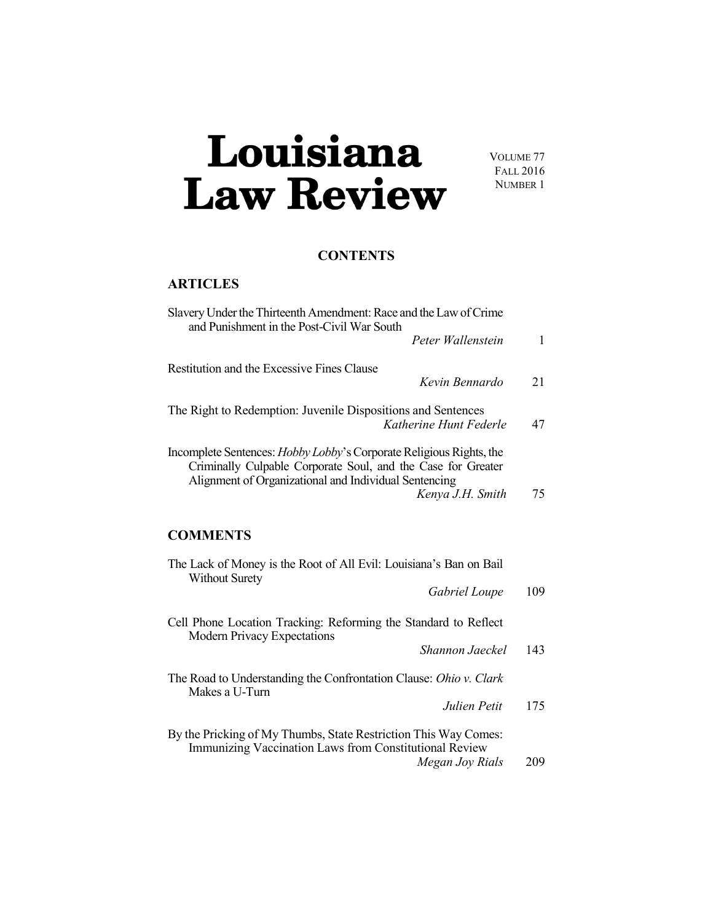# Louisiana **Law Review**

VOLUME 77 FALL 2016 NUMBER 1

### **CONTENTS**

### **ARTICLES**

| Slavery Under the Thirteenth Amendment: Race and the Law of Crime<br>and Punishment in the Post-Civil War South                                                                                                         |              |
|-------------------------------------------------------------------------------------------------------------------------------------------------------------------------------------------------------------------------|--------------|
| Peter Wallenstein                                                                                                                                                                                                       | $\mathbf{1}$ |
| <b>Restitution and the Excessive Fines Clause</b><br>Kevin Bennardo                                                                                                                                                     | 21           |
| The Right to Redemption: Juvenile Dispositions and Sentences<br>Katherine Hunt Federle                                                                                                                                  | 47           |
| Incomplete Sentences: <i>Hobby Lobby's</i> Corporate Religious Rights, the<br>Criminally Culpable Corporate Soul, and the Case for Greater<br>Alignment of Organizational and Individual Sentencing<br>Kenya J.H. Smith | 75           |
| <b>COMMENTS</b>                                                                                                                                                                                                         |              |
| The Lack of Money is the Root of All Evil: Louisiana's Ban on Bail<br><b>Without Surety</b>                                                                                                                             |              |
| Gabriel Loupe                                                                                                                                                                                                           | 109          |
| Cell Phone Location Tracking: Reforming the Standard to Reflect<br><b>Modern Privacy Expectations</b>                                                                                                                   |              |
| Shannon Jaeckel                                                                                                                                                                                                         | 143          |
| The Road to Understanding the Confrontation Clause: Ohio v. Clark<br>Makes a U-Turn                                                                                                                                     |              |
| Julien Petit                                                                                                                                                                                                            | 175          |
| By the Pricking of My Thumbs, State Restriction This Way Comes:<br>Immunizing Vaccination Laws from Constitutional Review<br>Megan Joy Rials                                                                            | 209          |
|                                                                                                                                                                                                                         |              |